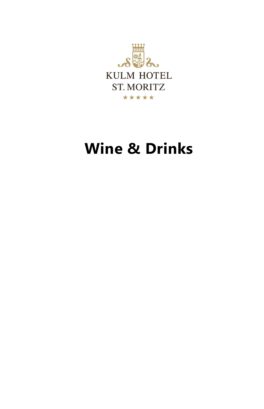

# **Wine & Drinks**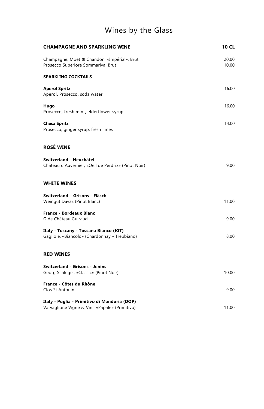| <b>CHAMPAGNE AND SPARKLING WINE</b>                                                            | <b>10 CL</b>   |
|------------------------------------------------------------------------------------------------|----------------|
| Champagne, Moët & Chandon, «Impérial», Brut<br>Prosecco Superiore Sommariva, Brut              | 20.00<br>10.00 |
| <b>SPARKLING COCKTAILS</b>                                                                     |                |
| <b>Aperol Spritz</b><br>Aperol, Prosecco, soda water                                           | 16.00          |
| Hugo<br>Prosecco, fresh mint, elderflower syrup                                                | 16.00          |
| <b>Chesa Spritz</b><br>Prosecco, ginger syrup, fresh limes                                     | 14.00          |
| <b>ROSÉ WINE</b>                                                                               |                |
| Switzerland - Neuchâtel<br>Château d'Auvernier, «Oeil de Perdrix» (Pinot Noir)                 | 9.00           |
| <b>WHITE WINES</b>                                                                             |                |
| Switzerland - Grisons - Fläsch<br>Weingut Davaz (Pinot Blanc)                                  | 11.00          |
| <b>France - Bordeaux Blanc</b><br>G de Château Guiraud                                         | 9.00           |
| Italy - Tuscany - Toscana Bianco (IGT)<br>Gagliole, «Biancolo» (Chardonnay - Trebbiano)        | 8.00           |
| <b>RED WINES</b>                                                                               |                |
| <b>Switzerland - Grisons - Jenins</b><br>Georg Schlegel, «Classic» (Pinot Noir)                | 10.00          |
| France - Côtes du Rhône<br>Clos St Antonin                                                     | 9.00           |
| Italy - Puglia - Primitivo di Manduria (DOP)<br>Varvaglione Vigne & Vini, «Papale» (Primitivo) | 11.00          |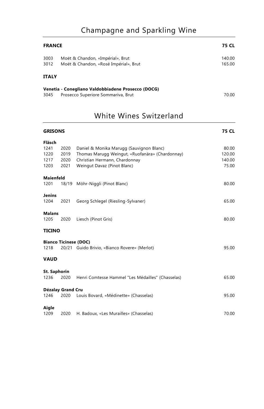# Champagne and Sparkling Wine

| <b>FRANCE</b> | 75 CL                                                                                    |                  |
|---------------|------------------------------------------------------------------------------------------|------------------|
| 3003<br>3012  | Moët & Chandon, «Impérial», Brut<br>Moët & Chandon, «Rosé Impérial», Brut                | 140.00<br>165.00 |
| <b>ITALY</b>  |                                                                                          |                  |
| 3045          | Venetia - Conegliano Valdobbiadene Prosecco (DOCG)<br>Prosecco Superiore Sommariva, Brut | 70.00            |

|  | <b>White Wines Switzerland</b> |  |
|--|--------------------------------|--|
|  |                                |  |

| <b>GRISONS</b>               |       |                                                   | <b>75 CL</b> |
|------------------------------|-------|---------------------------------------------------|--------------|
| Fläsch                       |       |                                                   |              |
| 1241                         | 2020  | Daniel & Monika Marugg (Sauvignon Blanc)          | 80.00        |
| 1220                         | 2019  | Thomas Marugg Weingut, «Ruofanära» (Chardonnay)   | 120.00       |
| 1217                         | 2020  | Christian Hermann, Chardonnay                     | 140.00       |
| 1203                         | 2021  | Weingut Davaz (Pinot Blanc)                       | 75.00        |
| <b>Maienfeld</b>             |       |                                                   |              |
| 1201                         | 18/19 | Möhr-Niggli (Pinot Blanc)                         | 80.00        |
| <b>Jenins</b>                |       |                                                   |              |
| 1204                         | 2021  | Georg Schlegel (Riesling-Sylvaner)                | 65.00        |
| <b>Malans</b>                |       |                                                   |              |
| 1205                         | 2020  | Liesch (Pinot Gris)                               | 80.00        |
| <b>TICINO</b>                |       |                                                   |              |
| <b>Bianco Ticinese (DOC)</b> |       |                                                   |              |
| 1218                         |       | 20/21 Guido Brivio, «Bianco Rovere» (Merlot)      | 95.00        |
| <b>VAUD</b>                  |       |                                                   |              |
| <b>St. Saphorin</b>          |       |                                                   |              |
| 1236                         | 2020  | Henri Comtesse Hammel "Les Médailles" (Chasselas) | 65.00        |
| Dézalay Grand Cru            |       |                                                   |              |
| 1246                         | 2020  | Louis Bovard, «Médinette» (Chasselas)             | 95.00        |
| Aigle                        |       |                                                   |              |
| 1209                         | 2020  | H. Badoux, «Les Murailles» (Chasselas)            | 70.00        |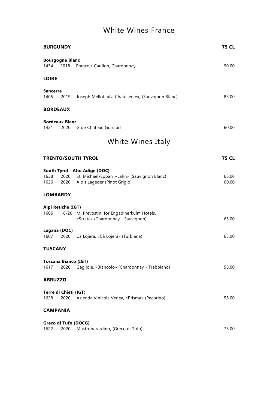## White Wines France

|                         | <b>BURGUNDY</b>                     |                                                                                                                    | <b>75 CL</b>   |
|-------------------------|-------------------------------------|--------------------------------------------------------------------------------------------------------------------|----------------|
| 1434                    | <b>Bourgogne Blanc</b><br>2018      | François Carillon, Chardonnay                                                                                      | 90.00          |
| <b>LOIRE</b>            |                                     |                                                                                                                    |                |
| <b>Sancerre</b><br>1405 | 2019                                | Joseph Mellot, «La Chatellenie», (Sauvignon Blanc)                                                                 | 85.00          |
|                         | <b>BORDEAUX</b>                     |                                                                                                                    |                |
| 1421                    | <b>Bordeaux Blanc</b><br>2020       | G de Château Guiraud                                                                                               | 60.00          |
|                         |                                     | White Wines Italy                                                                                                  |                |
|                         |                                     | <b>TRENTO/SOUTH TYROL</b>                                                                                          | <b>75 CL</b>   |
| 1638<br>1626            | 2020                                | South Tyrol - Alto Adige (DOC)<br>St. Michael-Eppan, «Lahn» (Sauvignon Blanc)<br>2020 Alois Lageder (Pinot Grigio) | 65.00<br>60.00 |
|                         | <b>LOMBARDY</b>                     |                                                                                                                    |                |
| 1606                    | Alpi Retiche (IGT)                  | 18/20 M. Prevostini for Engadinerkulm Hotels,<br>«Strata» (Chardonnay - Sauvignon)                                 | 65.00          |
|                         | Lugana (DOC)                        | 1607 2020 Cà Lojera, «Cà Lojera» (Turbiana)                                                                        | 65.00          |
| <b>TUSCANY</b>          |                                     |                                                                                                                    |                |
| 1617                    | <b>Toscana Bianco (IGT)</b><br>2020 | Gagliole, «Biancolo» (Chardonnay - Trebbiano)                                                                      | 55.00          |
| <b>ABRUZZO</b>          |                                     |                                                                                                                    |                |
| 1628                    | Terre di Chieti (IGT)<br>2020       | Azienda Vinicola Venea, «Prisma» (Pecorino)                                                                        | 55.00          |
|                         | <b>CAMPANIA</b>                     |                                                                                                                    |                |
| 1622                    | 2020                                | Greco di Tufo (DOCG)<br>Mastroberardino, (Greco di Tufo)                                                           | 75.00          |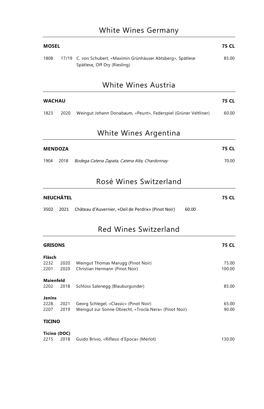### White Wines Germany

| <b>MOSEL</b> |                                                                                                | 75 CL |
|--------------|------------------------------------------------------------------------------------------------|-------|
| 1808         | 17/19 C. von Schubert, «Maximin Grünhäuser Abtsberg», Spätlese<br>Spätlese, Off Dry (Riesling) | 85.00 |

#### White Wines Austria

| <b>WACHAU</b> |      |                                                                 | 75 CL |
|---------------|------|-----------------------------------------------------------------|-------|
| 1823          | 2020 | Weingut Johann Donabaum, «Peunt», Federspiel (Grüner Veltliner) | 60.00 |

#### White Wines Argentina

| <b>MENDOZA</b> |  |                                                         | 75 CL |
|----------------|--|---------------------------------------------------------|-------|
|                |  | 1904 2018 Bodega Catena Zapata, Catena Alta, Chardonnay | 70.00 |

#### Rosé Wines Switzerland

| <b>NEUCHÂTEL</b> |  |                                                               |       | 75 CL |
|------------------|--|---------------------------------------------------------------|-------|-------|
|                  |  | 3502 2021 Château d'Auvernier, «Qeil de Perdrix» (Pinot Noir) | 60.00 |       |

### Red Wines Switzerland

| <b>GRISONS</b>   |              |                                                       | 75 CL  |
|------------------|--------------|-------------------------------------------------------|--------|
| Fläsch           |              |                                                       |        |
| 2232             | 2020         | Weingut Thomas Marugg (Pinot Noir)                    | 75.00  |
| 2201             | 2020         | Christian Hermann (Pinot Noir)                        | 100.00 |
| <b>Maienfeld</b> |              |                                                       |        |
| 2202             | 2018         | Schloss Salenegg (Blauburgunder)                      | 85.00  |
| <b>Jenins</b>    |              |                                                       |        |
| 2228             | 2021         | Georg Schlegel, «Classic» (Pinot Noir)                | 65.00  |
| 2207             | 2019         | Weingut zur Sonne Obrecht, «Trocla Nera» (Pinot Noir) | 90.00  |
| <b>TICINO</b>    |              |                                                       |        |
|                  | Ticino (DOC) |                                                       |        |
| 2215             | 2018         | Guido Brivio, «Riflessi d'Epoca» (Merlot)             | 130.00 |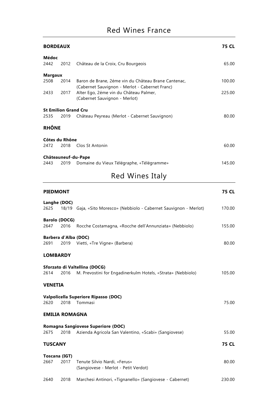| <b>BORDEAUX</b>                     |              |                                                                                                                                                                                  | <b>75 CL</b>     |
|-------------------------------------|--------------|----------------------------------------------------------------------------------------------------------------------------------------------------------------------------------|------------------|
| Médoc<br>2442                       | 2012         | Château de la Croix, Cru Bourgeois                                                                                                                                               | 65.00            |
| <b>Margaux</b><br>2508<br>2433      | 2014<br>2017 | Baron de Brane, 2éme vin du Château Brane Cantenac,<br>(Cabernet Sauvignon - Merlot - Cabernet Franc)<br>Alter Ego, 2éme vin du Château Palmer,<br>(Cabernet Sauvignon - Merlot) | 100.00<br>225.00 |
| <b>St Emilion Grand Cru</b><br>2535 | 2019         | Château Peyreau (Merlot - Cabernet Sauvignon)                                                                                                                                    | 80.00            |
| <b>RHÔNE</b>                        |              |                                                                                                                                                                                  |                  |
| Côtes du Rhône<br>2472              | 2018         | Clos St Antonin                                                                                                                                                                  | 60.00            |
| 2443                                | 2019         | Châteauneuf-du-Pape<br>Domaine du Vieux Télégraphe, «Télégramme»                                                                                                                 | 145.00           |
|                                     |              | Red Wines Italy                                                                                                                                                                  |                  |
| <b>PIEDMONT</b>                     |              |                                                                                                                                                                                  | <b>75 CL</b>     |
| $l$ angka (DOC)                     |              |                                                                                                                                                                                  |                  |

| Langhe (DOC)          |      |                                                                                              |              |
|-----------------------|------|----------------------------------------------------------------------------------------------|--------------|
| 2625                  |      | 18/19 Gaja, «Sito Moresco» (Nebbiolo - Cabernet Sauvignon - Merlot)                          | 170.00       |
| <b>Barolo (DOCG)</b>  |      |                                                                                              |              |
| 2647                  | 2016 | Rocche Costamagna, «Rocche dell'Annunziata» (Nebbiolo)                                       | 155.00       |
| Barbera d'Alba (DOC)  |      |                                                                                              |              |
| 2691                  | 2019 | Vietti, «Tre Vigne» (Barbera)                                                                | 80.00        |
| <b>LOMBARDY</b>       |      |                                                                                              |              |
|                       |      |                                                                                              |              |
| 2614                  | 2016 | Sforzato di Valtellina (DOCG)<br>M. Prevostini for Engadinerkulm Hotels, «Strata» (Nebbiolo) | 105.00       |
| <b>VENETIA</b>        |      |                                                                                              |              |
|                       |      | Valpolicella Superiore Ripasso (DOC)                                                         |              |
| 2620                  | 2018 | Tommasi                                                                                      | 75.00        |
| <b>EMILIA ROMAGNA</b> |      |                                                                                              |              |
|                       |      |                                                                                              |              |
|                       |      | Romagna Sangiovese Superiore (DOC)                                                           |              |
| 2675                  | 2018 | Azienda Agricola San Valentino, «Scabi» (Sangiovese)                                         | 55.00        |
| <b>TUSCANY</b>        |      |                                                                                              | <b>75 CL</b> |
| Toscana (IGT)         |      |                                                                                              |              |
| 2667                  | 2017 | Tenute Silvio Nardi, «Ferus»                                                                 | 80.00        |
|                       |      | (Sangiovese - Merlot - Petit Verdot)                                                         |              |
| 2640                  | 2018 | Marchesi Antinori, «Tignanello» (Sangiovese - Cabernet)                                      | 230.00       |
|                       |      |                                                                                              |              |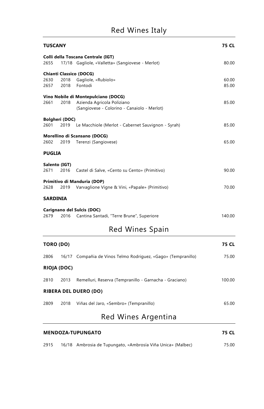| <b>TUSCANY</b>        |              |                                                                                                                  |                |
|-----------------------|--------------|------------------------------------------------------------------------------------------------------------------|----------------|
| 2655                  |              | Colli della Toscana Centrale (IGT)<br>17/18 Gagliole, «Valletta» (Sangiovese - Merlot)                           | 80.00          |
|                       |              | <b>Chianti Classico (DOCG)</b>                                                                                   |                |
| 2630<br>2657          | 2018<br>2018 | Gagliole, «Rubiolo»<br>Fontodi                                                                                   | 60.00<br>85.00 |
| 2661                  | 2018         | Vino Nobile di Montepulciano (DOCG)<br>Azienda Agricola Poliziano<br>(Sangiovese - Colorino - Canaiolo - Merlot) | 85.00          |
| <b>Bolgheri (DOC)</b> |              |                                                                                                                  |                |
| 2601                  |              | 2019 Le Macchiole (Merlot - Cabernet Sauvignon - Syrah)                                                          | 85.00          |
| 2602                  | 2019         | Morellino di Scansano (DOCG)<br>Terenzi (Sangiovese)                                                             | 65.00          |
| <b>PUGLIA</b>         |              |                                                                                                                  |                |
| Salento (IGT)<br>2671 | 2016         | Castel di Salve, «Cento su Cento» (Primitivo)                                                                    | 90.00          |
| 2628                  | 2019         | Primitivo di Manduria (DOP)<br>Varvaglione Vigne & Vini, «Papale» (Primitivo)                                    | 70.00          |
| <b>SARDINIA</b>       |              |                                                                                                                  |                |
|                       |              | <b>Carignano del Sulcis (DOC)</b>                                                                                |                |
| 2679                  | 2016         | Cantina Santadi, "Terre Brune", Superiore                                                                        | 140.00         |
|                       |              | Red Wines Spain                                                                                                  |                |
| TORO (DO)             |              |                                                                                                                  | <b>75 CL</b>   |
| 2806                  |              | 16/17 Compañia de Vinos Telmo Rodriguez, «Gago» (Tempranillo)                                                    | 75.00          |
| <b>RIOJA (DOC)</b>    |              |                                                                                                                  |                |
| 2810                  | 2013         | Remelluri, Reserva (Tempranillo - Garnacha - Graciano)                                                           | 100.00         |
|                       |              | <b>RIBERA DEL DUERO (DO)</b>                                                                                     |                |
| 2809                  | 2018         | Viñas del Jaro, «Sembro» (Tempranillo)                                                                           | 65.00          |
|                       |              | Red Wines Argentina                                                                                              |                |
|                       |              |                                                                                                                  |                |

| <b>MENDOZA-TUPUNGATO</b> |  |                                                             | 75 CL |
|--------------------------|--|-------------------------------------------------------------|-------|
| 2915                     |  | 16/18 Ambrosia de Tupungato, «Ambrosía Viña Unica» (Malbec) | 75.00 |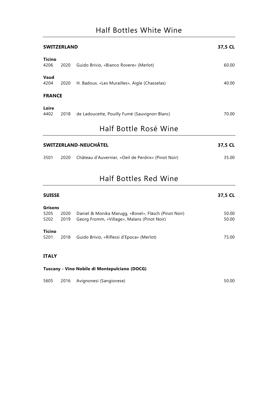| <b>SWITZERLAND</b>           |               |                                                     | 37,5 CL |  |  |
|------------------------------|---------------|-----------------------------------------------------|---------|--|--|
| <b>Ticino</b><br>4206        | 2020          | Guido Brivio, «Bianco Rovere» (Merlot)              | 60.00   |  |  |
| Vaud<br>4204                 | 2020          | H. Badoux, «Les Murailles», Aigle (Chasselas)       | 40.00   |  |  |
|                              | <b>FRANCE</b> |                                                     |         |  |  |
| Loire<br>4402                | 2018          | de Ladoucette, Pouilly Fumé (Sauvignon Blanc)       | 70.00   |  |  |
| Half Bottle Rosé Wine        |               |                                                     |         |  |  |
| <b>SWITZERLAND-NEUCHÂTEL</b> |               |                                                     | 37,5 CL |  |  |
| 3501                         | 2020          | Château d'Auvernier, «Oeil de Perdrix» (Pinot Noir) | 35.00   |  |  |
|                              |               |                                                     |         |  |  |

### Half Bottles Red Wine

| <b>SUISSE</b>  |      |                                                      | 37,5 CL |
|----------------|------|------------------------------------------------------|---------|
| <b>Grisons</b> |      |                                                      |         |
| 5205           | 2020 | Daniel & Monika Marugg, «Bovel», Fläsch (Pinot Noir) | 50.00   |
| 5202           | 2019 | Georg Fromm, «Village», Malans (Pinot Noir)          | 50.00   |
| <b>Ticino</b>  |      |                                                      |         |
| 5201           | 2018 | Guido Brivio, «Riflessi d'Epoca» (Merlot)            | 75.00   |
|                |      |                                                      |         |
| <b>ITALY</b>   |      |                                                      |         |
|                |      |                                                      |         |

#### **Tuscany - Vino Nobile di Montepulciano (DOCG)**

|  |  | 5605 2016 Avignonesi (Sangiovese) | 50.00 |
|--|--|-----------------------------------|-------|
|--|--|-----------------------------------|-------|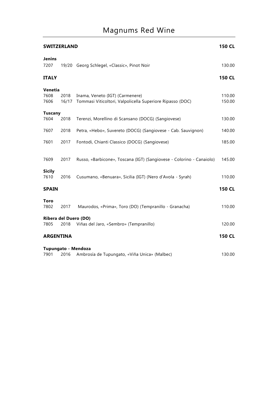# Magnums Red Wine

| <b>SWITZERLAND</b>                   |               | 150 CL                                                                                       |                  |
|--------------------------------------|---------------|----------------------------------------------------------------------------------------------|------------------|
| <b>Jenins</b><br>7207                |               | 19/20 Georg Schlegel, «Classic», Pinot Noir                                                  | 130.00           |
| <b>ITALY</b>                         |               |                                                                                              | <b>150 CL</b>    |
| Venetia<br>7608<br>7606              | 2018<br>16/17 | Inama, Veneto (IGT) (Carmenere)<br>Tommasi Viticoltori, Valpolicella Superiore Ripasso (DOC) | 110.00<br>150.00 |
| <b>Tuscany</b><br>7604               | 2018          | Terenzi, Morellino di Scansano (DOCG) (Sangiovese)                                           | 130.00           |
| 7607                                 | 2018          | Petra, «Hebo», Suvereto (DOCG) (Sangiovese - Cab. Sauvignon)                                 | 140.00           |
| 7601                                 | 2017          | Fontodi, Chianti Classico (DOCG) (Sangiovese)                                                | 185.00           |
| 7609                                 | 2017          | Russo, «Barbicone», Toscana (IGT) (Sangiovese - Colorino - Canaiolo)                         | 145.00           |
| <b>Sicily</b><br>7610                | 2016          | Cusumano, «Benuara», Sicilia (IGT) (Nero d'Avola - Syrah)                                    | 110.00           |
| <b>SPAIN</b>                         |               |                                                                                              | <b>150 CL</b>    |
| <b>Toro</b><br>7802                  | 2017          | Maurodos, «Prima», Toro (DO) (Tempranillo - Granacha)                                        | 110.00           |
| <b>Ribera del Duero (DO)</b><br>7805 | 2018          | Viñas del Jaro, «Sembro» (Tempranillo)                                                       | 120.00           |
| <b>ARGENTINA</b>                     |               |                                                                                              | <b>150 CL</b>    |
| Tupungato - Mendoza<br>7901          | 2016          | Ambrosía de Tupungato, «Viña Unica» (Malbec)                                                 | 130.00           |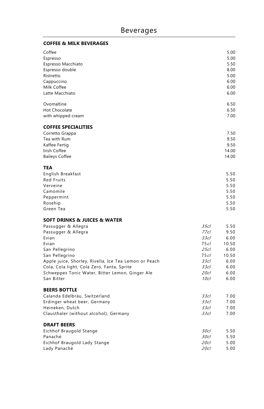#### **COFFEE & MILK BEVERAGES**

| Coffee<br>Espresso<br>Espresso Macchiato<br>Espresso double<br>Ristretto<br>Cappuccino<br>Milk Coffee<br>Latte Macchiato                                                                                                                                                                                                |                                                                                           | 5.00<br>5.00<br>5.50<br>8.00<br>5.00<br>6.00<br>6.00<br>6.00                   |
|-------------------------------------------------------------------------------------------------------------------------------------------------------------------------------------------------------------------------------------------------------------------------------------------------------------------------|-------------------------------------------------------------------------------------------|--------------------------------------------------------------------------------|
| Ovomaltine<br><b>Hot Chocolate</b><br>with whipped cream                                                                                                                                                                                                                                                                |                                                                                           | 6.50<br>6.50<br>7.00                                                           |
| <b>COFFEE SPECIALITIES</b><br>Corretto Grappa<br>Tea with Rum<br>Kaffee Fertig<br><b>Irish Coffee</b><br><b>Baileys Coffee</b>                                                                                                                                                                                          |                                                                                           | 7.50<br>9.50<br>9.50<br>14.00<br>14.00                                         |
| <b>TEA</b><br>English Breakfast<br><b>Red Fruits</b><br>Verveine<br>Camomile<br>Peppermint<br>Rosehip<br>Green Tea                                                                                                                                                                                                      |                                                                                           | 5.50<br>5.50<br>5.50<br>5.50<br>5.50<br>5.50<br>5.50                           |
| <b>SOFT DRINKS &amp; JUICES &amp; WATER</b><br>Passugger & Allegra<br>Passugger & Allegra<br>Evian<br>Evian<br>San Pellegrino<br>San Pellegrino<br>Apple juice, Shorley, Rivella, Ice Tea Lemon or Peach<br>Cola, Cola light, Cola Zero, Fanta, Sprite<br>Schweppes Tonic Water, Bitter Lemon, Ginger Ale<br>San Bitter | 35c/<br>77 <sub>cl</sub><br>33c/<br>75 cl<br>25c/<br>75c/<br>33c/<br>33c/<br>20c/<br>10c1 | 5.50<br>9.50<br>6.00<br>10.50<br>6.00<br>10.50<br>6.00<br>6.00<br>6.00<br>6.00 |
| <b>BEERS BOTTLE</b><br>Calanda Edelbräu, Switzerland<br>Erdinger wheat beer, Germany<br>Heineken, Dutch<br>Clausthaler (without alcohol), Germany                                                                                                                                                                       | 33c/<br>33c/<br>33c/<br>33c/                                                              | 7.00<br>7.00<br>7.00<br>7.00                                                   |
| <b>DRAFT BEERS</b><br>Eichhof Braugold Stange<br>Panaché<br>Eichhof Braugold Lady Stange<br>Lady Panaché                                                                                                                                                                                                                | 30c/<br>30c/<br>20c1<br>20c/                                                              | 5.50<br>5.50<br>5.00<br>5.00                                                   |